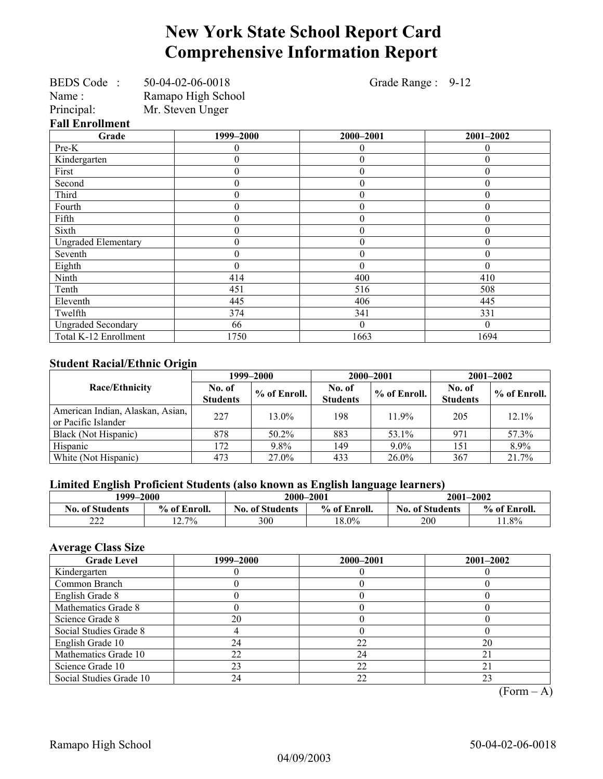## **New York State School Report Card Comprehensive Information Report**

| BEDS Code: 50-04-02-06-0018 |                    | Grade Range : 9-12 |                  |  |  |
|-----------------------------|--------------------|--------------------|------------------|--|--|
| Name:                       | Ramapo High School |                    |                  |  |  |
| Principal:                  | Mr. Steven Unger   |                    |                  |  |  |
| <b>Fall Enrollment</b>      |                    |                    |                  |  |  |
| Grade                       | 1999-2000          | 2000-2001          | 2001-2002        |  |  |
| Pre-K                       |                    | 0                  | 0                |  |  |
| Kindergarten                | 0                  | $\theta$           | $\boldsymbol{0}$ |  |  |
| First                       | $\boldsymbol{0}$   | $\theta$           | $\theta$         |  |  |
| Second                      | $\overline{0}$     | $\theta$           | $\boldsymbol{0}$ |  |  |
| Third                       | $\overline{0}$     | $\theta$           | $\theta$         |  |  |
| Fourth                      | $\boldsymbol{0}$   | $\theta$           | $\boldsymbol{0}$ |  |  |
| Fifth                       | 0                  | $\theta$           | $\boldsymbol{0}$ |  |  |
| Sixth                       | $\boldsymbol{0}$   | $\theta$           | $\boldsymbol{0}$ |  |  |
| <b>Ungraded Elementary</b>  | $\boldsymbol{0}$   | $\theta$           | $\boldsymbol{0}$ |  |  |
| Seventh                     | $\boldsymbol{0}$   | $\theta$           | $\boldsymbol{0}$ |  |  |
| Eighth                      | $\theta$           | $\theta$           | $\theta$         |  |  |
| Ninth                       | 414                | 400                | 410              |  |  |
| Tenth                       | 451                | 516                | 508              |  |  |
| Eleventh                    | 445                | 406                | 445              |  |  |
| Twelfth                     | 374                | 341                | 331              |  |  |
| <b>Ungraded Secondary</b>   | 66                 | $\Omega$           | $\Omega$         |  |  |
| Total K-12 Enrollment       | 1750               | 1663               | 1694             |  |  |

### **Student Racial/Ethnic Origin**

| ັ                                                       |                           | 1999–2000      | 2000–2001                 |              | $2001 - 2002$             |              |
|---------------------------------------------------------|---------------------------|----------------|---------------------------|--------------|---------------------------|--------------|
| <b>Race/Ethnicity</b>                                   | No. of<br><b>Students</b> | $%$ of Enroll. | No. of<br><b>Students</b> | % of Enroll. | No. of<br><b>Students</b> | % of Enroll. |
| American Indian, Alaskan, Asian,<br>or Pacific Islander | 227                       | $13.0\%$       | 198                       | 11.9%        | 205                       | $12.1\%$     |
| Black (Not Hispanic)                                    | 878                       | 50.2%          | 883                       | 53.1%        | 971                       | 57.3%        |
| Hispanic                                                | 172                       | 9.8%           | 149                       | $9.0\%$      | 151                       | 8.9%         |
| White (Not Hispanic)                                    | 473                       | 27.0%          | 433                       | $26.0\%$     | 367                       | 21.7%        |

### **Limited English Proficient Students (also known as English language learners)**

| 1999–2000              |              | 2000-2001                              |          | 2001-2002              |              |  |
|------------------------|--------------|----------------------------------------|----------|------------------------|--------------|--|
| <b>No. of Students</b> | % of Enroll. | <b>No. of Students</b><br>% of Enroll. |          | <b>No. of Students</b> | % of Enroll. |  |
| $\sim$<br>∠∠∠          | $2.7\%$      | 300                                    | $18.0\%$ | 200                    | $1.8\%$      |  |

### **Average Class Size**

| <b>Grade Level</b>      | 1999–2000 | 2000-2001 | $2001 - 2002$ |
|-------------------------|-----------|-----------|---------------|
| Kindergarten            |           |           |               |
| Common Branch           |           |           |               |
| English Grade 8         |           |           |               |
| Mathematics Grade 8     |           |           |               |
| Science Grade 8         | 20        |           |               |
| Social Studies Grade 8  |           |           |               |
| English Grade 10        | 24        | 22        | 20            |
| Mathematics Grade 10    | 22        | 24        | 21            |
| Science Grade 10        | 23        | 22        |               |
| Social Studies Grade 10 | 24        | 22        | 23            |

 $(Form – A)$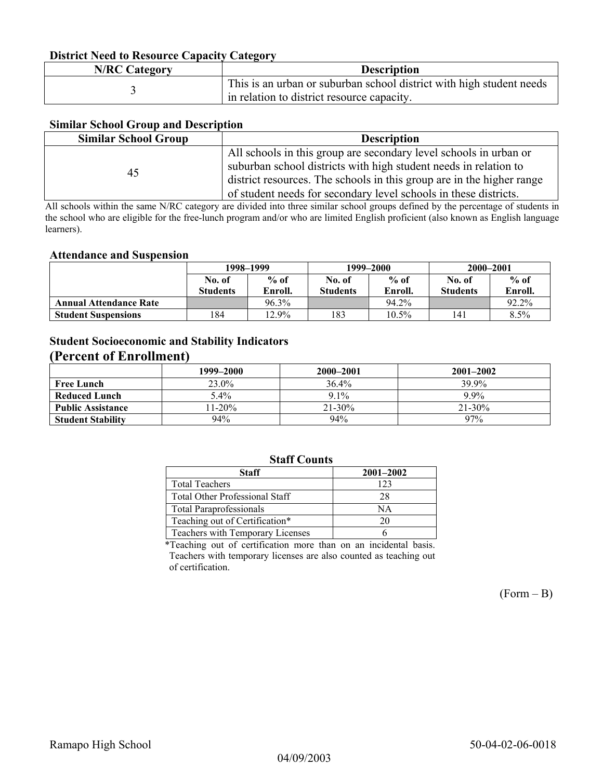### **District Need to Resource Capacity Category**

| <b>N/RC Category</b> | <b>Description</b>                                                                                                 |
|----------------------|--------------------------------------------------------------------------------------------------------------------|
|                      | This is an urban or suburban school district with high student needs<br>in relation to district resource capacity. |

### **Similar School Group and Description**

| <b>Similar School Group</b> | <b>Description</b>                                                    |
|-----------------------------|-----------------------------------------------------------------------|
|                             | All schools in this group are secondary level schools in urban or     |
| 45                          | suburban school districts with high student needs in relation to      |
|                             | district resources. The schools in this group are in the higher range |
|                             | of student needs for secondary level schools in these districts.      |

All schools within the same N/RC category are divided into three similar school groups defined by the percentage of students in the school who are eligible for the free-lunch program and/or who are limited English proficient (also known as English language learners).

#### **Attendance and Suspension**

|                               | 1998–1999       |          |                 | 1999–2000 | 2000-2001       |         |
|-------------------------------|-----------------|----------|-----------------|-----------|-----------------|---------|
|                               | No. of          | $%$ of   | No. of          | $%$ of    | No. of          | $%$ of  |
|                               | <b>Students</b> | Enroll.  | <b>Students</b> | Enroll.   | <b>Students</b> | Enroll. |
| <b>Annual Attendance Rate</b> |                 | $96.3\%$ |                 | 94.2%     |                 | 92.2%   |
| <b>Student Suspensions</b>    | ! 84            | $12.9\%$ | 183             | 10.5%     | 141             | 8.5%    |

### **Student Socioeconomic and Stability Indicators (Percent of Enrollment)**

|                          | 1999-2000 | 2000-2001   | $2001 - 2002$ |
|--------------------------|-----------|-------------|---------------|
| <b>Free Lunch</b>        | 23.0%     | $36.4\%$    | 39.9%         |
| Reduced Lunch            | $5.4\%$   | $9.1\%$     | $9.9\%$       |
| <b>Public Assistance</b> | $11-20%$  | $21 - 30\%$ | $21 - 30\%$   |
| <b>Student Stability</b> | 94%       | 94%         | 97%           |

### **Staff Counts**

| Staff                                 | $2001 - 2002$ |
|---------------------------------------|---------------|
| <b>Total Teachers</b>                 | 123           |
| <b>Total Other Professional Staff</b> | 28            |
| <b>Total Paraprofessionals</b>        | NΑ            |
| Teaching out of Certification*        | 20            |
| Teachers with Temporary Licenses      |               |

\*Teaching out of certification more than on an incidental basis. Teachers with temporary licenses are also counted as teaching out of certification.

 $(Form - B)$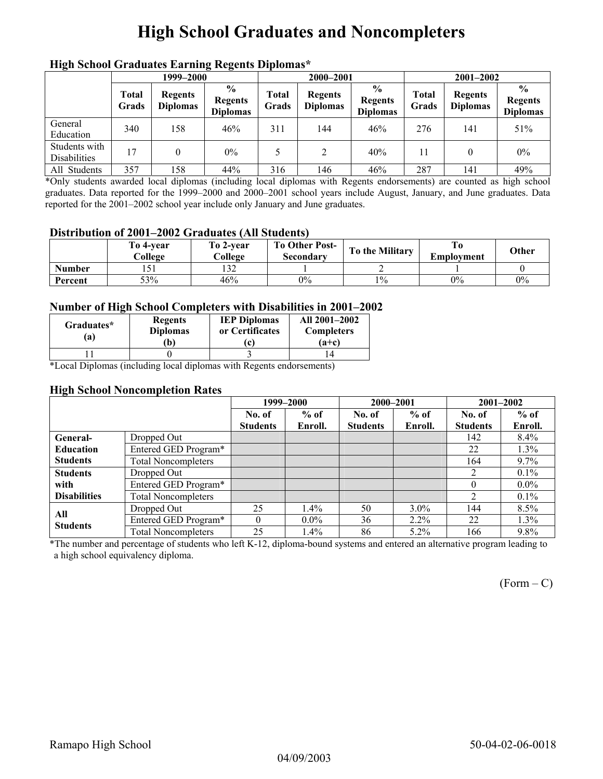# **High School Graduates and Noncompleters**

|                                      | men senoor Graaaates Larming regents Dipromas<br>1999–2000 |                                   |                                                    |                | 2000-2001                         |                                                    |                | $2001 - 2002$                     |                                                    |
|--------------------------------------|------------------------------------------------------------|-----------------------------------|----------------------------------------------------|----------------|-----------------------------------|----------------------------------------------------|----------------|-----------------------------------|----------------------------------------------------|
|                                      | <b>Total</b><br>Grads                                      | <b>Regents</b><br><b>Diplomas</b> | $\frac{6}{9}$<br><b>Regents</b><br><b>Diplomas</b> | Total<br>Grads | <b>Regents</b><br><b>Diplomas</b> | $\frac{0}{0}$<br><b>Regents</b><br><b>Diplomas</b> | Total<br>Grads | <b>Regents</b><br><b>Diplomas</b> | $\frac{6}{9}$<br><b>Regents</b><br><b>Diplomas</b> |
| General<br>Education                 | 340                                                        | 158                               | 46%                                                | 311            | 144                               | 46%                                                | 276            | 141                               | 51%                                                |
| Students with<br><b>Disabilities</b> | ' 7                                                        |                                   | $0\%$                                              |                | 2                                 | 40%                                                | 11             |                                   | $0\%$                                              |
| All Students                         | 357                                                        | 158                               | 44%                                                | 316            | 146                               | 46%                                                | 287            | 141                               | 49%                                                |

### **High School Graduates Earning Regents Diplomas\***

\*Only students awarded local diplomas (including local diplomas with Regents endorsements) are counted as high school graduates. Data reported for the 1999–2000 and 2000–2001 school years include August, January, and June graduates. Data reported for the 2001–2002 school year include only January and June graduates.

#### **Distribution of 2001–2002 Graduates (All Students)**

|               | To 4-vear<br>College | To 2-vear<br>College | <b>To Other Post-</b><br>Secondary | To the Military | Emplovment | Other |
|---------------|----------------------|----------------------|------------------------------------|-----------------|------------|-------|
| <b>Number</b> |                      | $1 \cap \cap$<br>194 |                                    |                 |            |       |
| Percent       | 53%                  | 46%                  | $0\%$                              | $1\%$           | $0\%$      | 0%    |

#### **Number of High School Completers with Disabilities in 2001–2002**

| Graduates*<br>'a) | <b>Regents</b><br><b>Diplomas</b><br>Ъ) | <b>IEP Diplomas</b><br>or Certificates<br>c | All 2001-2002<br><b>Completers</b><br>$(a+c)$ |
|-------------------|-----------------------------------------|---------------------------------------------|-----------------------------------------------|
|                   |                                         |                                             |                                               |

\*Local Diplomas (including local diplomas with Regents endorsements)

#### **High School Noncompletion Rates**

|                     |                            |                 | 1999-2000 | 2000-2001       |         |                 | 2001-2002 |  |
|---------------------|----------------------------|-----------------|-----------|-----------------|---------|-----------------|-----------|--|
|                     |                            | No. of          | $%$ of    | No. of          | $%$ of  | No. of          | $%$ of    |  |
|                     |                            | <b>Students</b> | Enroll.   | <b>Students</b> | Enroll. | <b>Students</b> | Enroll.   |  |
| General-            | Dropped Out                |                 |           |                 |         | 142             | $8.4\%$   |  |
| <b>Education</b>    | Entered GED Program*       |                 |           |                 |         | 22              | 1.3%      |  |
| <b>Students</b>     | <b>Total Noncompleters</b> |                 |           |                 |         | 164             | $9.7\%$   |  |
| <b>Students</b>     | Dropped Out                |                 |           |                 |         | $\overline{2}$  | $0.1\%$   |  |
| with                | Entered GED Program*       |                 |           |                 |         | $\Omega$        | $0.0\%$   |  |
| <b>Disabilities</b> | <b>Total Noncompleters</b> |                 |           |                 |         | $\overline{c}$  | $0.1\%$   |  |
| All                 | Dropped Out                | 25              | 1.4%      | 50              | $3.0\%$ | 144             | $8.5\%$   |  |
| <b>Students</b>     | Entered GED Program*       | $\theta$        | $0.0\%$   | 36              | $2.2\%$ | 22              | $1.3\%$   |  |
|                     | <b>Total Noncompleters</b> | 25              | $1.4\%$   | 86              | $5.2\%$ | 166             | 9.8%      |  |

\*The number and percentage of students who left K-12, diploma-bound systems and entered an alternative program leading to a high school equivalency diploma.

 $(Form - C)$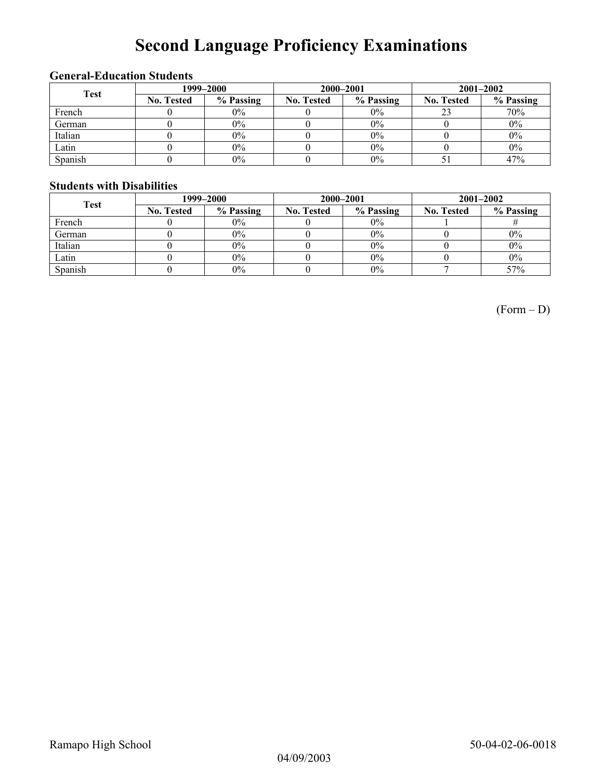# **Second Language Proficiency Examinations**

### **General-Education Students**

| <b>Test</b> | 1999–2000         |           |                   | 2000-2001 | $2001 - 2002$     |           |  |
|-------------|-------------------|-----------|-------------------|-----------|-------------------|-----------|--|
|             | <b>No. Tested</b> | % Passing | <b>No. Tested</b> | % Passing | <b>No. Tested</b> | % Passing |  |
| French      |                   | $0\%$     |                   | $0\%$     |                   | 70%       |  |
| German      |                   | 0%        |                   | 0%        |                   | $0\%$     |  |
| Italian     |                   | 0%        |                   | 0%        |                   | $0\%$     |  |
| Latin       |                   | $0\%$     |                   | 0%        |                   | $0\%$     |  |
| Spanish     |                   | $0\%$     |                   | 0%        |                   | 47%       |  |

#### **Students with Disabilities**

| <b>Test</b> | 1999–2000         |           |                   | 2000-2001 | $2001 - 2002$     |           |  |
|-------------|-------------------|-----------|-------------------|-----------|-------------------|-----------|--|
|             | <b>No. Tested</b> | % Passing | <b>No. Tested</b> | % Passing | <b>No. Tested</b> | % Passing |  |
| French      |                   | $0\%$     |                   | $0\%$     |                   |           |  |
| German      |                   | $0\%$     |                   | $0\%$     |                   | $0\%$     |  |
| Italian     |                   | $0\%$     |                   | $0\%$     |                   | $0\%$     |  |
| Latin       |                   | $0\%$     |                   | $0\%$     |                   | $0\%$     |  |
| Spanish     |                   | $0\%$     |                   | 0%        |                   | 57%       |  |

(Form – D)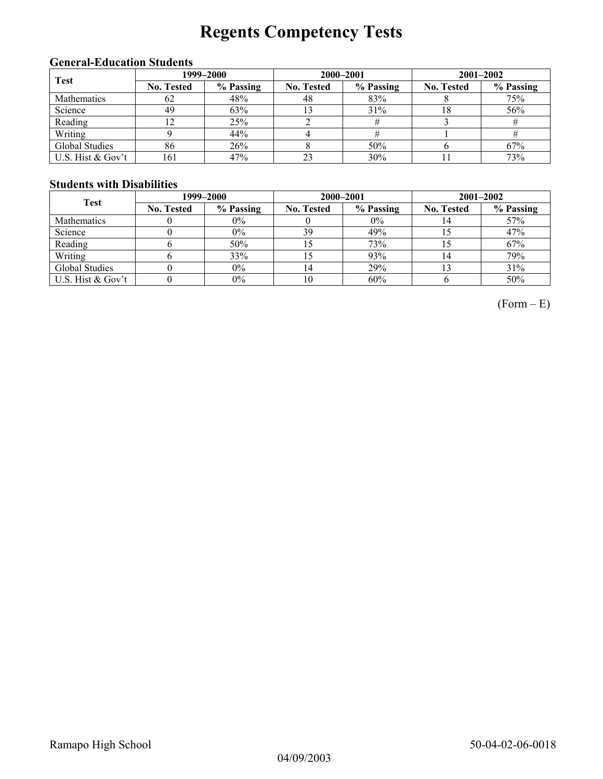# **Regents Competency Tests**

### **General-Education Students**

| <b>Test</b>        | 1999–2000         |           |                   | 2000-2001 | $2001 - 2002$     |           |  |
|--------------------|-------------------|-----------|-------------------|-----------|-------------------|-----------|--|
|                    | <b>No. Tested</b> | % Passing | <b>No. Tested</b> | % Passing | <b>No. Tested</b> | % Passing |  |
| <b>Mathematics</b> | 62                | 48%       | 48                | 83%       |                   | 75%       |  |
| Science            | 49                | 63%       |                   | 31%       | 18                | 56%       |  |
| Reading            |                   | 25%       |                   |           |                   |           |  |
| Writing            |                   | 44%       |                   |           |                   |           |  |
| Global Studies     | 86                | 26%       |                   | 50%       |                   | 67%       |  |
| U.S. Hist & Gov't  | 161               | 47%       | 23                | 30%       |                   | 73%       |  |

### **Students with Disabilities**

| <b>Test</b>        | 1999–2000         |           |                   | 2000-2001 | $2001 - 2002$     |           |  |
|--------------------|-------------------|-----------|-------------------|-----------|-------------------|-----------|--|
|                    | <b>No. Tested</b> | % Passing | <b>No. Tested</b> | % Passing | <b>No. Tested</b> | % Passing |  |
| <b>Mathematics</b> |                   | $0\%$     |                   | $0\%$     |                   | 57%       |  |
| Science            |                   | $0\%$     | 39                | 49%       |                   | 47%       |  |
| Reading            |                   | 50%       |                   | 73%       |                   | 67%       |  |
| Writing            |                   | 33%       |                   | 93%       |                   | 79%       |  |
| Global Studies     |                   | $0\%$     |                   | 29%       |                   | 31%       |  |
| U.S. Hist & Gov't  |                   | $0\%$     | 10                | 60%       |                   | 50%       |  |

 $(Form - E)$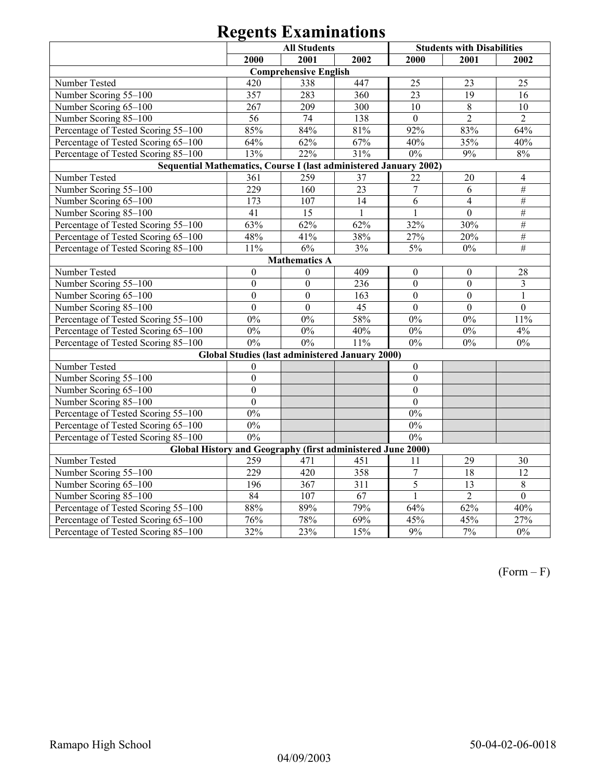|                                                                   |                  | <b>All Students</b>                                    |                     |                  | <b>Students with Disabilities</b> |                 |  |  |
|-------------------------------------------------------------------|------------------|--------------------------------------------------------|---------------------|------------------|-----------------------------------|-----------------|--|--|
|                                                                   | 2000             | 2001                                                   | 2002                | 2000             | 2001                              | 2002            |  |  |
|                                                                   |                  | <b>Comprehensive English</b>                           |                     |                  |                                   |                 |  |  |
| Number Tested                                                     | 420              | 338                                                    | 447                 | 25               | 23                                | 25              |  |  |
| Number Scoring 55-100                                             | 357              | 283                                                    | 360                 | 23               | 19                                | 16              |  |  |
| Number Scoring 65-100                                             | 267              | 209                                                    | 300                 | 10               | 8                                 | 10              |  |  |
| Number Scoring 85-100                                             | 56               | 74                                                     | 138                 | $\overline{0}$   | $\overline{2}$                    | $\overline{2}$  |  |  |
| Percentage of Tested Scoring 55-100                               | 85%              | 84%                                                    | $81\sqrt{2}$        | 92%              | 83%                               | 64%             |  |  |
| Percentage of Tested Scoring 65-100                               | 64%              | 62%                                                    | 67%                 | 40%              | 35%                               | 40%             |  |  |
| Percentage of Tested Scoring 85-100                               | 13%              | 22%                                                    | 31%                 | $0\%$            | 9%                                | $8\%$           |  |  |
| Sequential Mathematics, Course I (last administered January 2002) |                  |                                                        |                     |                  |                                   |                 |  |  |
| Number Tested                                                     | 361              | 259                                                    | 37                  | 22               | $20\,$                            | $\overline{4}$  |  |  |
| Number Scoring 55-100                                             | 229              | 160                                                    | $\overline{23}$     | $\overline{7}$   | $\overline{6}$                    | $\#$            |  |  |
| Number Scoring 65-100                                             | 173              | 107                                                    | 14                  | 6                | $\overline{4}$                    | $\overline{\#}$ |  |  |
| Number Scoring 85-100                                             | 41               | 15                                                     | $\mathbf{1}$        | $\mathbf{1}$     | $\boldsymbol{0}$                  | #               |  |  |
| Percentage of Tested Scoring 55-100                               | 63%              | 62%                                                    | 62%                 | 32%              | 30%                               | $\#$            |  |  |
| Percentage of Tested Scoring 65-100                               | 48%              | 41%                                                    | 38%                 | 27%              | $20\sqrt{2}$                      | $\overline{\#}$ |  |  |
| Percentage of Tested Scoring 85-100                               | 11%              | 6%                                                     | 3%                  | 5%               | $0\%$                             | $\overline{\#}$ |  |  |
| <b>Mathematics A</b>                                              |                  |                                                        |                     |                  |                                   |                 |  |  |
| Number Tested                                                     | $\mathbf{0}$     | $\theta$                                               | 409                 | $\boldsymbol{0}$ | $\boldsymbol{0}$                  | 28              |  |  |
| Number Scoring 55-100                                             | $\mathbf{0}$     | $\overline{0}$                                         | 236                 | $\boldsymbol{0}$ | $\mathbf{0}$                      | 3               |  |  |
| Number Scoring 65-100                                             | $\overline{0}$   | $\mathbf{0}$                                           | 163                 | $\overline{0}$   | $\mathbf{0}$                      | $\mathbf{1}$    |  |  |
| Number Scoring 85-100                                             | $\overline{0}$   | $\overline{0}$                                         | 45                  | $\mathbf{0}$     | $\mathbf{0}$                      | $\overline{0}$  |  |  |
| Percentage of Tested Scoring 55-100                               | 0%               | 0%                                                     | 58%                 | $0\%$            | $0\%$                             | 11%             |  |  |
| Percentage of Tested Scoring 65-100                               | $0\%$            | $0\%$                                                  | 40%                 | $0\%$            | $0\%$                             | 4%              |  |  |
| Percentage of Tested Scoring 85-100                               | 0%               | 0%                                                     | 11%                 | 0%               | $0\%$                             | $0\%$           |  |  |
|                                                                   |                  | <b>Global Studies (last administered January 2000)</b> |                     |                  |                                   |                 |  |  |
| Number Tested                                                     | $\theta$         |                                                        |                     | $\mathbf{0}$     |                                   |                 |  |  |
| Number Scoring 55-100                                             | $\mathbf{0}$     |                                                        |                     | $\boldsymbol{0}$ |                                   |                 |  |  |
| Number Scoring 65-100                                             | $\mathbf{0}$     |                                                        |                     | $\boldsymbol{0}$ |                                   |                 |  |  |
| Number Scoring 85-100                                             | $\overline{0}$   |                                                        |                     | $\overline{0}$   |                                   |                 |  |  |
| Percentage of Tested Scoring 55-100                               | 0%               |                                                        |                     | 0%               |                                   |                 |  |  |
| Percentage of Tested Scoring 65-100                               | $0\%$            |                                                        |                     | $0\%$            |                                   |                 |  |  |
| Percentage of Tested Scoring 85-100                               | 0%               |                                                        |                     | 0%               |                                   |                 |  |  |
| Global History and Geography (first administered June 2000)       |                  |                                                        |                     |                  |                                   |                 |  |  |
| Number Tested                                                     | 259              | 471                                                    | 451                 | 11               | 29                                | 30              |  |  |
| Number Scoring 55-100                                             | $\overline{229}$ | 420                                                    | 358                 | $\overline{7}$   | $\overline{18}$                   | $\overline{12}$ |  |  |
| Number Scoring 65-100                                             | 196              | 367                                                    | 311                 | 5                | 13                                | $\overline{8}$  |  |  |
| Number Scoring 85-100                                             | 84               | 107                                                    | 67                  | $\mathbf{1}$     | $\overline{2}$                    | $\overline{0}$  |  |  |
| Percentage of Tested Scoring 55-100                               | 88%              | 89%                                                    | 79%                 | 64%              | 62%                               | 40%             |  |  |
| Percentage of Tested Scoring 65-100                               | 76%              | 78%                                                    | 69%                 | 45%              | 45%                               | 27%             |  |  |
| Percentage of Tested Scoring 85-100                               | $\frac{1}{32\%}$ | 23%                                                    | $\frac{15\%}{15\%}$ | 9%               | 7%                                | 0%              |  |  |

(Form – F)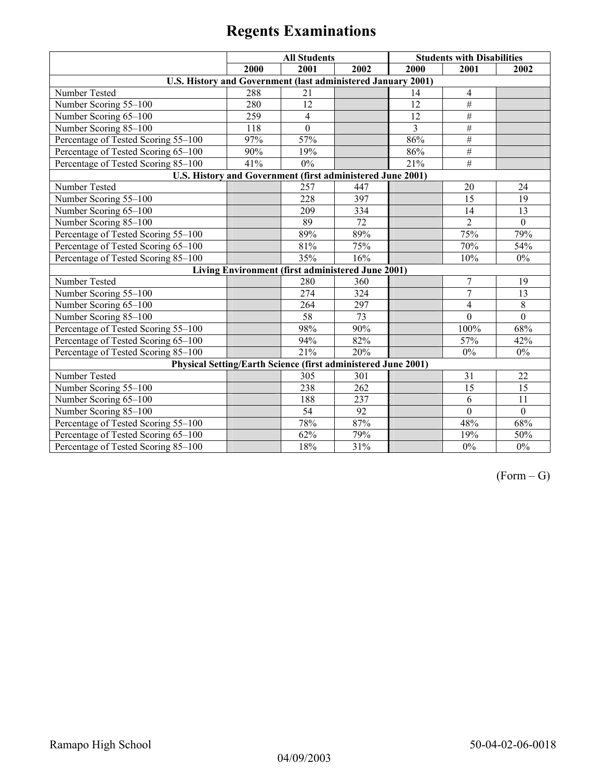|                                                                      | <b>All Students</b> |                                                   |                 | <b>Students with Disabilities</b> |                 |                  |
|----------------------------------------------------------------------|---------------------|---------------------------------------------------|-----------------|-----------------------------------|-----------------|------------------|
|                                                                      | 2000                | 2001                                              | 2002            | 2000                              | 2001            | 2002             |
| U.S. History and Government (last administered January 2001)         |                     |                                                   |                 |                                   |                 |                  |
| Number Tested                                                        | 288                 | 21                                                |                 | 14                                | 4               |                  |
| Number Scoring 55-100                                                | 280                 | 12                                                |                 | 12                                | $\overline{\#}$ |                  |
| Number Scoring 65-100                                                | 259                 | $\overline{4}$                                    |                 | 12                                | #               |                  |
| Number Scoring 85-100                                                | 118                 | $\mathbf{0}$                                      |                 | 3                                 | $\overline{\#}$ |                  |
| Percentage of Tested Scoring 55-100                                  | 97%                 | 57%                                               |                 | 86%                               | $\overline{\#}$ |                  |
| Percentage of Tested Scoring 65-100                                  | 90%                 | 19%                                               |                 | 86%                               | #               |                  |
| Percentage of Tested Scoring 85-100                                  | 41%                 | $0\%$                                             |                 | 21%                               | #               |                  |
| U.S. History and Government (first administered June 2001)           |                     |                                                   |                 |                                   |                 |                  |
| Number Tested                                                        |                     | $\overline{257}$                                  | 447             |                                   | 20              | 24               |
| Number Scoring 55-100                                                |                     | 228                                               | 397             |                                   | 15              | 19               |
| Number Scoring 65-100                                                |                     | 209                                               | 334             |                                   | 14              | 13               |
| Number Scoring 85-100                                                |                     | 89                                                | 72              |                                   | $\overline{2}$  | $\mathbf{0}$     |
| Percentage of Tested Scoring 55-100                                  |                     | 89%                                               | 89%             |                                   | 75%             | 79%              |
| Percentage of Tested Scoring 65-100                                  |                     | 81%                                               | 75%             |                                   | 70%             | 54%              |
| Percentage of Tested Scoring 85-100                                  |                     | 35%                                               | 16%             |                                   | 10%             | $0\%$            |
|                                                                      |                     | Living Environment (first administered June 2001) |                 |                                   |                 |                  |
| Number Tested                                                        |                     | 280                                               | 360             |                                   | $\overline{7}$  | 19               |
| Number Scoring 55-100                                                |                     | 274                                               | 324             |                                   | $\overline{7}$  | 13               |
| Number Scoring 65-100                                                |                     | 264                                               | 297             |                                   | $\overline{4}$  | $\overline{8}$   |
| Number Scoring 85-100                                                |                     | 58                                                | $\overline{73}$ |                                   | $\mathbf{0}$    | $\mathbf{0}$     |
| Percentage of Tested Scoring 55-100                                  |                     | 98%                                               | 90%             |                                   | 100%            | 68%              |
| Percentage of Tested Scoring 65-100                                  |                     | 94%                                               | 82%             |                                   | 57%             | 42%              |
| Percentage of Tested Scoring 85-100                                  |                     | 21%                                               | 20%             |                                   | 0%              | $0\%$            |
| <b>Physical Setting/Earth Science (first administered June 2001)</b> |                     |                                                   |                 |                                   |                 |                  |
| Number Tested                                                        |                     | 305                                               | 301             |                                   | 31              | 22               |
| Number Scoring 55-100                                                |                     | 238                                               | 262             |                                   | $\overline{15}$ | $\overline{15}$  |
| Number Scoring 65-100                                                |                     | 188                                               | 237             |                                   | 6               | 11               |
| Number Scoring 85-100                                                |                     | 54                                                | 92              |                                   | $\mathbf{0}$    | $\boldsymbol{0}$ |
| Percentage of Tested Scoring 55-100                                  |                     | 78%                                               | 87%             |                                   | 48%             | 68%              |
| Percentage of Tested Scoring 65-100                                  |                     | 62%                                               | 79%             |                                   | 19%             | 50%              |
| Percentage of Tested Scoring 85-100                                  |                     | 18%                                               | 31%             |                                   | $0\%$           | $0\%$            |

 $(Form - G)$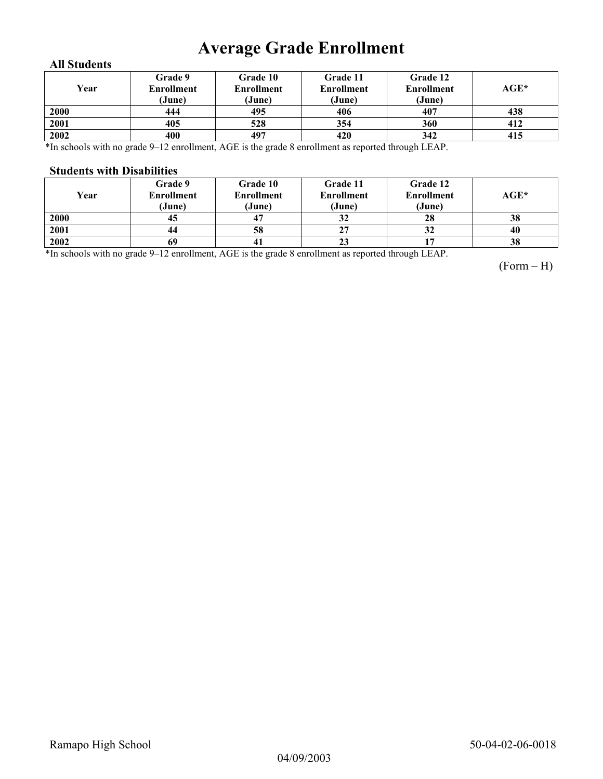## **Average Grade Enrollment**

### **All Students**

| Year | Grade 9<br>Enrollment<br>(June) | Grade 10<br><b>Enrollment</b><br>(June) | Grade 11<br>Enrollment<br>(June) | Grade 12<br><b>Enrollment</b><br>(June) | AGE* |
|------|---------------------------------|-----------------------------------------|----------------------------------|-----------------------------------------|------|
| 2000 | 444                             | 495                                     | 406                              | 407                                     | 438  |
| 2001 | 405                             | 528                                     | 354                              | 360                                     | 412  |
| 2002 | 400                             | 497                                     | 420                              | 342                                     | 415  |

\*In schools with no grade 9–12 enrollment, AGE is the grade 8 enrollment as reported through LEAP.

#### **Students with Disabilities**

| Year | Grade 9<br><b>Enrollment</b><br>(June) | <b>Grade 10</b><br><b>Enrollment</b><br>(June) | Grade 11<br><b>Enrollment</b><br>(June) | Grade 12<br><b>Enrollment</b><br>(June) | AGE* |
|------|----------------------------------------|------------------------------------------------|-----------------------------------------|-----------------------------------------|------|
| 2000 | 45                                     | 4.                                             | 32                                      | 28                                      | 38   |
| 2001 | 44                                     | 58                                             | 27                                      | 32                                      | 40   |
| 2002 | 69                                     | -41                                            | 23                                      |                                         | 38   |

\*In schools with no grade 9–12 enrollment, AGE is the grade 8 enrollment as reported through LEAP.

(Form – H)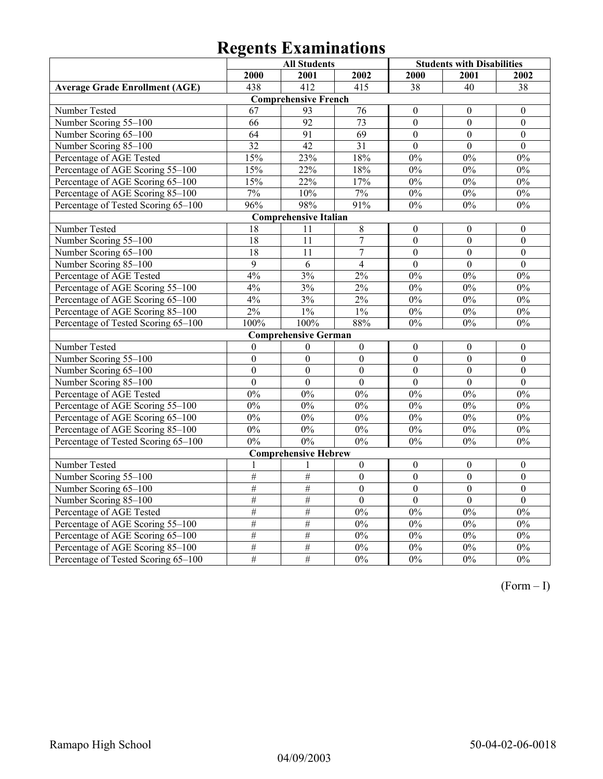|                                       | <b>All Students</b> |                              |                  | <b>Students with Disabilities</b> |                  |                  |
|---------------------------------------|---------------------|------------------------------|------------------|-----------------------------------|------------------|------------------|
|                                       | 2000                | 2001                         | 2002             | 2000                              | 2001             | 2002             |
| <b>Average Grade Enrollment (AGE)</b> | 438                 | 412                          | $\overline{415}$ | 38                                | 40               | 38               |
|                                       |                     | <b>Comprehensive French</b>  |                  |                                   |                  |                  |
| Number Tested                         | 67                  | 93                           | 76               | $\theta$                          | $\mathbf{0}$     | $\mathbf{0}$     |
| Number Scoring 55-100                 | 66                  | $\overline{92}$              | $\overline{73}$  | $\overline{0}$                    | $\overline{0}$   | $\boldsymbol{0}$ |
| Number Scoring 65-100                 | $\overline{64}$     | $\overline{91}$              | $\overline{69}$  | $\overline{0}$                    | $\overline{0}$   | $\boldsymbol{0}$ |
| Number Scoring 85-100                 | $\overline{32}$     | 42                           | $\overline{31}$  | $\theta$                          | $\theta$         | $\theta$         |
| Percentage of AGE Tested              | 15%                 | 23%                          | 18%              | $0\%$                             | $0\%$            | $0\%$            |
| Percentage of AGE Scoring 55-100      | 15%                 | 22%                          | 18%              | 0%                                | 0%               | 0%               |
| Percentage of AGE Scoring 65-100      | 15%                 | 22%                          | 17%              | 0%                                | 0%               | 0%               |
| Percentage of AGE Scoring 85-100      | 7%                  | $10\%$                       | 7%               | $0\%$                             | $0\%$            | $0\%$            |
| Percentage of Tested Scoring 65-100   | 96%                 | 98%                          | 91%              | 0%                                | 0%               | 0%               |
|                                       |                     | <b>Comprehensive Italian</b> |                  |                                   |                  |                  |
| Number Tested                         | 18                  | 11                           | $\,8\,$          | $\boldsymbol{0}$                  | $\boldsymbol{0}$ | $\boldsymbol{0}$ |
| Number Scoring 55-100                 | 18                  | 11                           | $\overline{7}$   | $\boldsymbol{0}$                  | $\boldsymbol{0}$ | $\boldsymbol{0}$ |
| Number Scoring 65-100                 | 18                  | $\overline{11}$              | $\overline{7}$   | $\overline{0}$                    | $\overline{0}$   | $\overline{0}$   |
| Number Scoring 85-100                 | $\overline{9}$      | $\overline{6}$               | $\overline{4}$   | $\overline{0}$                    | $\overline{0}$   | $\overline{0}$   |
| Percentage of AGE Tested              | 4%                  | 3%                           | $2\%$            | 0%                                | 0%               | $0\%$            |
| Percentage of AGE Scoring 55-100      | 4%                  | 3%                           | $2\%$            | 0%                                | 0%               | 0%               |
| Percentage of AGE Scoring 65-100      | 4%                  | 3%                           | 2%               | 0%                                | 0%               | 0%               |
| Percentage of AGE Scoring 85-100      | $2\%$               | $1\%$                        | 1%               | $0\%$                             | $0\%$            | $0\%$            |
| Percentage of Tested Scoring 65-100   | 100%                | 100%                         | 88%              | 0%                                | $0\%$            | $0\%$            |
|                                       |                     | <b>Comprehensive German</b>  |                  |                                   |                  |                  |
| Number Tested                         | $\boldsymbol{0}$    | $\boldsymbol{0}$             | $\boldsymbol{0}$ | $\boldsymbol{0}$                  | $\boldsymbol{0}$ | $\boldsymbol{0}$ |
| Number Scoring 55-100                 | $\mathbf{0}$        | $\mathbf{0}$                 | $\overline{0}$   | $\overline{0}$                    | $\boldsymbol{0}$ | $\boldsymbol{0}$ |
| Number Scoring 65-100                 | $\boldsymbol{0}$    | $\boldsymbol{0}$             | $\boldsymbol{0}$ | $\boldsymbol{0}$                  | $\boldsymbol{0}$ | $\boldsymbol{0}$ |
| Number Scoring 85-100                 | $\overline{0}$      | $\overline{0}$               | $\overline{0}$   | $\theta$                          | $\overline{0}$   | $\overline{0}$   |
| Percentage of AGE Tested              | 0%                  | 0%                           | 0%               | 0%                                | 0%               | 0%               |
| Percentage of AGE Scoring 55-100      | $0\%$               | $0\%$                        | $0\%$            | $0\%$                             | $0\%$            | $0\%$            |
| Percentage of AGE Scoring 65-100      | 0%                  | 0%                           | $0\%$            | 0%                                | $0\%$            | $0\%$            |
| Percentage of AGE Scoring 85-100      | 0%                  | 0%                           | 0%               | 0%                                | 0%               | 0%               |
| Percentage of Tested Scoring 65-100   | 0%                  | 0%                           | $0\%$            | 0%                                | $0\%$            | $0\%$            |
|                                       |                     | <b>Comprehensive Hebrew</b>  |                  |                                   |                  |                  |
| Number Tested                         | $\mathbf{1}$        | 1                            | $\boldsymbol{0}$ | $\boldsymbol{0}$                  | $\boldsymbol{0}$ | $\boldsymbol{0}$ |
| Number Scoring 55-100                 | #                   | $\#$                         | $\boldsymbol{0}$ | $\boldsymbol{0}$                  | $\boldsymbol{0}$ | $\boldsymbol{0}$ |
| Number Scoring 65-100                 | #                   | $\#$                         | $\boldsymbol{0}$ | $\overline{0}$                    | $\boldsymbol{0}$ | $\overline{0}$   |
| Number Scoring 85-100                 | $\#$                | $\#$                         | $\overline{0}$   | $\overline{0}$                    | $\overline{0}$   | $\overline{0}$   |
| Percentage of AGE Tested              | #                   | $\#$                         | 0%               | 0%                                | 0%               | $\overline{0\%}$ |
| Percentage of AGE Scoring 55-100      | #                   | #                            | 0%               | 0%                                | 0%               | 0%               |
| Percentage of AGE Scoring 65-100      | #                   | #                            | $\overline{0\%}$ | 0%                                | $\overline{0\%}$ | $0\%$            |
| Percentage of AGE Scoring 85-100      | #                   | #                            | $0\%$            | $0\%$                             | $0\%$            | $0\%$            |
| Percentage of Tested Scoring 65-100   | #                   | #                            | 0%               | 0%                                | 0%               | $\overline{0\%}$ |

(Form – I)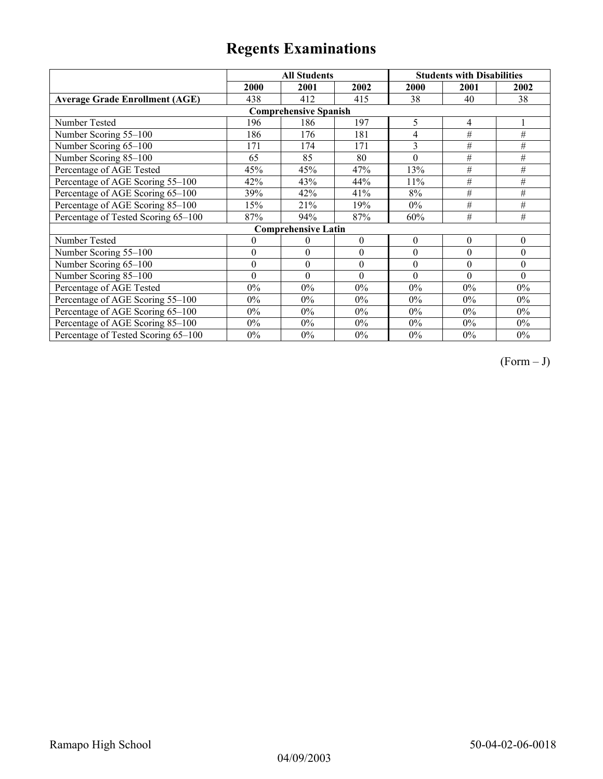|                                       |                  | <b>All Students</b>        |              | <b>Students with Disabilities</b> |          |          |  |  |
|---------------------------------------|------------------|----------------------------|--------------|-----------------------------------|----------|----------|--|--|
|                                       | 2000             | 2001                       | 2002         | 2000                              | 2001     | 2002     |  |  |
| <b>Average Grade Enrollment (AGE)</b> | 438              | 412                        | 415          | 38                                | 40       | 38       |  |  |
| <b>Comprehensive Spanish</b>          |                  |                            |              |                                   |          |          |  |  |
| Number Tested                         | 196              | 186                        | 197          | 5                                 | 4        |          |  |  |
| Number Scoring 55-100                 | 186              | 176                        | 181          | 4                                 | $\#$     | #        |  |  |
| Number Scoring 65-100                 | 171              | 174                        | 171          | 3                                 | #        | #        |  |  |
| Number Scoring 85-100                 | 65               | 85                         | 80           | $\theta$                          | #        | #        |  |  |
| Percentage of AGE Tested              | 45%              | 45%                        | 47%          | 13%                               | #        | $\#$     |  |  |
| Percentage of AGE Scoring 55-100      | 42%              | 43%                        | 44%          | 11%                               | $\#$     | $\#$     |  |  |
| Percentage of AGE Scoring 65-100      | 39%              | 42%                        | 41%          | $8\%$                             | #        | #        |  |  |
| Percentage of AGE Scoring 85-100      | 15%              | 21%                        | 19%          | $0\%$                             | #        | #        |  |  |
| Percentage of Tested Scoring 65-100   | 87%              | 94%                        | 87%          | 60%                               | #        | #        |  |  |
|                                       |                  | <b>Comprehensive Latin</b> |              |                                   |          |          |  |  |
| Number Tested                         | $\overline{0}$   | $\theta$                   | $\mathbf{0}$ | $\theta$                          | $\theta$ | $\theta$ |  |  |
| Number Scoring 55-100                 | $\theta$         | $\theta$                   | $\theta$     | $\theta$                          | $\theta$ | $\theta$ |  |  |
| Number Scoring 65-100                 | $\boldsymbol{0}$ | $\mathbf{0}$               | $\theta$     | $\theta$                          | $\theta$ | $\theta$ |  |  |
| Number Scoring 85-100                 | $\theta$         | $\theta$                   | $\theta$     | $\theta$                          | $\theta$ | $\Omega$ |  |  |
| Percentage of AGE Tested              | $0\%$            | $0\%$                      | $0\%$        | $0\%$                             | $0\%$    | $0\%$    |  |  |
| Percentage of AGE Scoring 55-100      | $0\%$            | $0\%$                      | $0\%$        | $0\%$                             | $0\%$    | $0\%$    |  |  |
| Percentage of AGE Scoring 65-100      | $0\%$            | $0\%$                      | $0\%$        | 0%                                | $0\%$    | $0\%$    |  |  |
| Percentage of AGE Scoring 85-100      | $0\%$            | $0\%$                      | $0\%$        | 0%                                | $0\%$    | $0\%$    |  |  |
| Percentage of Tested Scoring 65-100   | $0\%$            | $0\%$                      | $0\%$        | $0\%$                             | $0\%$    | $0\%$    |  |  |

 $(Form - J)$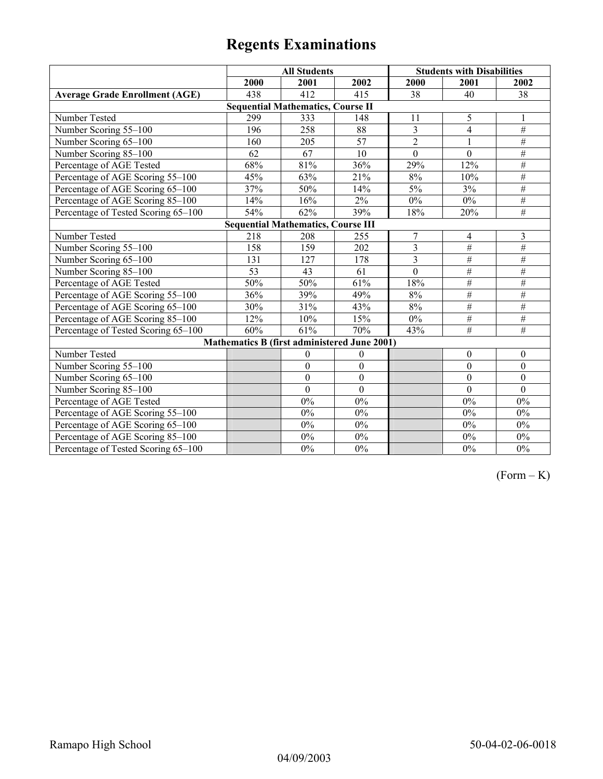|                                           | <b>All Students</b> |                                              |                  | <b>Students with Disabilities</b> |                         |                  |  |  |
|-------------------------------------------|---------------------|----------------------------------------------|------------------|-----------------------------------|-------------------------|------------------|--|--|
|                                           | 2000                | 2001                                         | 2002             | 2000                              | 2001                    | 2002             |  |  |
| <b>Average Grade Enrollment (AGE)</b>     | 438                 | 412                                          | 415              | 38                                | 40                      | 38               |  |  |
|                                           |                     | <b>Sequential Mathematics, Course II</b>     |                  |                                   |                         |                  |  |  |
| Number Tested                             | 299                 | 333                                          | 148              | 11                                | 5                       | 1                |  |  |
| Number Scoring 55-100                     | 196                 | 258                                          | 88               | $\overline{\mathbf{3}}$           | $\overline{\mathbf{4}}$ | $\overline{\#}$  |  |  |
| Number Scoring 65-100                     | 160                 | 205                                          | 57               | $\overline{2}$                    | 1                       | $\overline{\#}$  |  |  |
| Number Scoring 85-100                     | 62                  | 67                                           | 10               | $\overline{0}$                    | $\overline{0}$          | $\#$             |  |  |
| Percentage of AGE Tested                  | 68%                 | 81%                                          | 36%              | 29%                               | 12%                     | $\#$             |  |  |
| Percentage of AGE Scoring 55-100          | 45%                 | 63%                                          | 21%              | 8%                                | 10%                     | $\#$             |  |  |
| Percentage of AGE Scoring 65-100          | 37%                 | 50%                                          | 14%              | 5%                                | 3%                      | $\#$             |  |  |
| Percentage of AGE Scoring 85-100          | 14%                 | 16%                                          | 2%               | 0%                                | 0%                      | $\overline{\#}$  |  |  |
| Percentage of Tested Scoring 65-100       | 54%                 | 62%                                          | 39%              | 18%                               | 20%                     | $\overline{\#}$  |  |  |
| <b>Sequential Mathematics, Course III</b> |                     |                                              |                  |                                   |                         |                  |  |  |
| Number Tested                             | 218                 | 208                                          | 255              | $\boldsymbol{7}$                  | $\overline{4}$          | 3                |  |  |
| Number Scoring 55-100                     | 158                 | 159                                          | 202              | $\overline{\mathbf{3}}$           | #                       | $\overline{\#}$  |  |  |
| Number Scoring 65-100                     | 131                 | 127                                          | 178              | 3                                 | $\overline{\#}$         | $\#$             |  |  |
| Number Scoring 85-100                     | $\overline{53}$     | 43                                           | 61               | $\mathbf{0}$                      | $\overline{\#}$         | #                |  |  |
| Percentage of AGE Tested                  | 50%                 | 50%                                          | 61%              | 18%                               | $\overline{\#}$         | #                |  |  |
| Percentage of AGE Scoring 55-100          | 36%                 | 39%                                          | 49%              | 8%                                | $\overline{\#}$         | #                |  |  |
| Percentage of AGE Scoring 65-100          | 30%                 | 31%                                          | 43%              | $8\%$                             | $\overline{\#}$         | #                |  |  |
| Percentage of AGE Scoring 85-100          | 12%                 | 10%                                          | 15%              | $0\%$                             | $\overline{\#}$         | $\overline{\#}$  |  |  |
| Percentage of Tested Scoring 65-100       | 60%                 | 61%                                          | 70%              | 43%                               | $\overline{H}$          | $\overline{\#}$  |  |  |
|                                           |                     | Mathematics B (first administered June 2001) |                  |                                   |                         |                  |  |  |
| Number Tested                             |                     | $\boldsymbol{0}$                             | $\boldsymbol{0}$ |                                   | $\boldsymbol{0}$        | $\boldsymbol{0}$ |  |  |
| Number Scoring 55-100                     |                     | $\boldsymbol{0}$                             | $\boldsymbol{0}$ |                                   | $\mathbf{0}$            | $\boldsymbol{0}$ |  |  |
| Number Scoring 65-100                     |                     | $\boldsymbol{0}$                             | $\boldsymbol{0}$ |                                   | $\boldsymbol{0}$        | $\boldsymbol{0}$ |  |  |
| Number Scoring 85-100                     |                     | $\mathbf{0}$                                 | $\mathbf{0}$     |                                   | $\theta$                | $\mathbf{0}$     |  |  |
| Percentage of AGE Tested                  |                     | 0%                                           | $0\%$            |                                   | 0%                      | 0%               |  |  |
| Percentage of AGE Scoring 55-100          |                     | 0%                                           | $0\%$            |                                   | 0%                      | $0\%$            |  |  |
| Percentage of AGE Scoring 65-100          |                     | 0%                                           | $0\%$            |                                   | 0%                      | $0\%$            |  |  |
| Percentage of AGE Scoring 85-100          |                     | $0\%$                                        | $0\%$            |                                   | $0\%$                   | $0\%$            |  |  |
| Percentage of Tested Scoring 65-100       |                     | $0\%$                                        | $0\%$            |                                   | $0\%$                   | $0\%$            |  |  |

 $(Form - K)$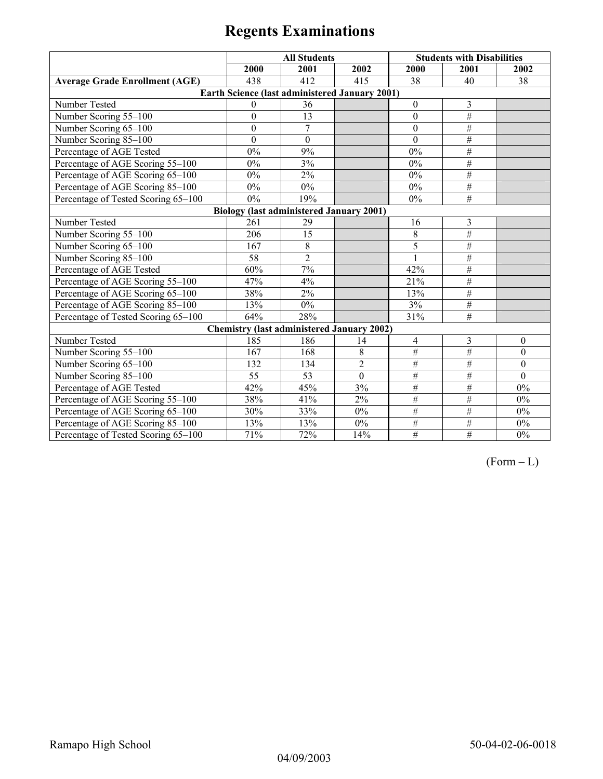|                                                 | <b>All Students</b> |                                                       |                | <b>Students with Disabilities</b> |                 |                |  |  |
|-------------------------------------------------|---------------------|-------------------------------------------------------|----------------|-----------------------------------|-----------------|----------------|--|--|
|                                                 | 2000                | 2001                                                  | 2002           | 2000                              | 2001            | 2002           |  |  |
| <b>Average Grade Enrollment (AGE)</b>           | 438                 | 412                                                   | 415            | 38                                | 40              | 38             |  |  |
|                                                 |                     | <b>Earth Science (last administered January 2001)</b> |                |                                   |                 |                |  |  |
| Number Tested                                   | $\Omega$            | 36                                                    |                | $\mathbf{0}$                      | 3               |                |  |  |
| Number Scoring 55-100                           | $\mathbf{0}$        | 13                                                    |                | $\mathbf{0}$                      | $\overline{\#}$ |                |  |  |
| Number Scoring 65-100                           | $\mathbf{0}$        | $\overline{7}$                                        |                | $\mathbf{0}$                      | $\overline{\#}$ |                |  |  |
| Number Scoring 85-100                           | $\mathbf{0}$        | $\mathbf{0}$                                          |                | $\theta$                          | $\overline{\#}$ |                |  |  |
| Percentage of AGE Tested                        | 0%                  | 9%                                                    |                | 0%                                | #               |                |  |  |
| Percentage of AGE Scoring 55-100                | 0%                  | 3%                                                    |                | 0%                                | #               |                |  |  |
| Percentage of AGE Scoring 65-100                | 0%                  | 2%                                                    |                | 0%                                | #               |                |  |  |
| Percentage of AGE Scoring 85-100                | $0\%$               | $0\%$                                                 |                | $0\%$                             | #               |                |  |  |
| Percentage of Tested Scoring 65-100             | 0%                  | 19%                                                   |                | $0\%$                             | #               |                |  |  |
| <b>Biology (last administered January 2001)</b> |                     |                                                       |                |                                   |                 |                |  |  |
| Number Tested                                   | 261                 | 29                                                    |                | 16                                | 3               |                |  |  |
| Number Scoring 55-100                           | 206                 | 15                                                    |                | $\,$ 8 $\,$                       | $\overline{\#}$ |                |  |  |
| Number Scoring 65-100                           | 167                 | 8                                                     |                | 5                                 | $\#$            |                |  |  |
| Number Scoring 85-100                           | 58                  | $\overline{2}$                                        |                |                                   | $\overline{\#}$ |                |  |  |
| Percentage of AGE Tested                        | 60%                 | 7%                                                    |                | 42%                               | $\overline{\#}$ |                |  |  |
| Percentage of AGE Scoring 55-100                | 47%                 | 4%                                                    |                | 21%                               | $\overline{\#}$ |                |  |  |
| Percentage of AGE Scoring 65-100                | 38%                 | 2%                                                    |                | 13%                               | $\overline{\#}$ |                |  |  |
| Percentage of AGE Scoring 85-100                | 13%                 | $0\%$                                                 |                | 3%                                | $\#$            |                |  |  |
| Percentage of Tested Scoring 65-100             | 64%                 | 28%                                                   |                | 31%                               | #               |                |  |  |
|                                                 |                     | <b>Chemistry (last administered January 2002)</b>     |                |                                   |                 |                |  |  |
| Number Tested                                   | 185                 | 186                                                   | 14             | 4                                 | 3               | $\theta$       |  |  |
| Number Scoring 55-100                           | 167                 | 168                                                   | 8              | $\overline{\#}$                   | #               | $\theta$       |  |  |
| Number Scoring 65-100                           | 132                 | 134                                                   | $\overline{2}$ | $\#$                              | $\overline{\#}$ | $\overline{0}$ |  |  |
| Number Scoring 85-100                           | 55                  | 53                                                    | $\mathbf{0}$   | $\overline{\#}$                   | $\#$            | $\theta$       |  |  |
| Percentage of AGE Tested                        | 42%                 | 45%                                                   | 3%             | $\#$                              | $\overline{\#}$ | 0%             |  |  |
| Percentage of AGE Scoring 55-100                | 38%                 | 41%                                                   | 2%             | $\#$                              | $\#$            | $0\%$          |  |  |
| Percentage of AGE Scoring 65-100                | 30%                 | 33%                                                   | $0\%$          | $\overline{\#}$                   | $\overline{\#}$ | 0%             |  |  |
| Percentage of AGE Scoring 85-100                | 13%                 | 13%                                                   | $0\%$          | $\#$                              | $\overline{\#}$ | $0\%$          |  |  |
| Percentage of Tested Scoring 65-100             | 71%                 | 72%                                                   | 14%            | $\#$                              | $\overline{\#}$ | 0%             |  |  |

 $(Form - L)$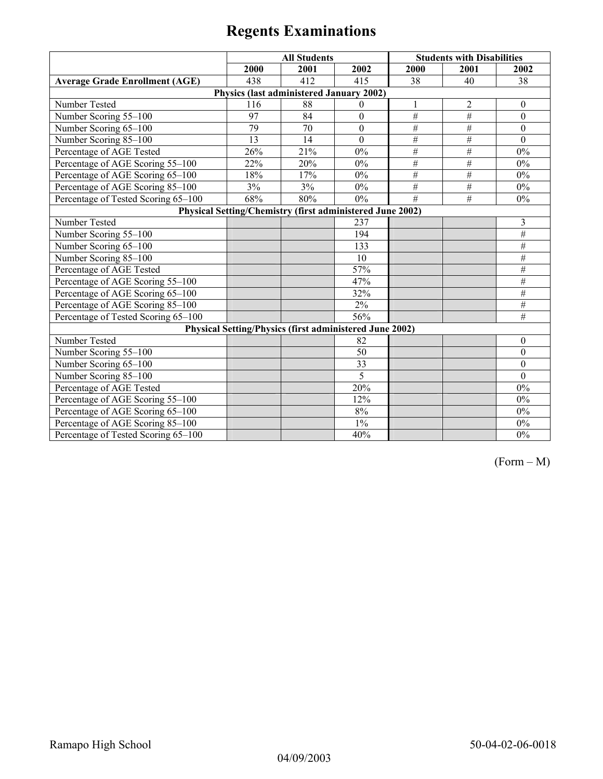|                                                           | <b>All Students</b> |                                                         |                  |                 | <b>Students with Disabilities</b> |                  |  |  |  |
|-----------------------------------------------------------|---------------------|---------------------------------------------------------|------------------|-----------------|-----------------------------------|------------------|--|--|--|
|                                                           | 2000                | 2001                                                    | 2002             | 2000            | 2001                              | 2002             |  |  |  |
| <b>Average Grade Enrollment (AGE)</b>                     | 438                 | 412                                                     | 415              | 38              | 40                                | 38               |  |  |  |
| Physics (last administered January 2002)                  |                     |                                                         |                  |                 |                                   |                  |  |  |  |
| Number Tested                                             | 116                 | 88                                                      | $\Omega$         | $\mathbf{1}$    | $\overline{2}$                    | $\mathbf{0}$     |  |  |  |
| Number Scoring 55-100                                     | 97                  | 84                                                      | $\boldsymbol{0}$ | $\#$            | $\#$                              | $\boldsymbol{0}$ |  |  |  |
| Number Scoring 65-100                                     | 79                  | 70                                                      | $\boldsymbol{0}$ | $\#$            | $\#$                              | $\theta$         |  |  |  |
| Number Scoring 85-100                                     | 13                  | 14                                                      | $\theta$         | $\#$            | $\#$                              | $\theta$         |  |  |  |
| Percentage of AGE Tested                                  | 26%                 | 21%                                                     | 0%               | $\#$            | $\#$                              | $0\%$            |  |  |  |
| Percentage of AGE Scoring 55-100                          | 22%                 | 20%                                                     | 0%               | $\#$            | $\#$                              | $0\%$            |  |  |  |
| Percentage of AGE Scoring 65-100                          | 18%                 | 17%                                                     | $0\%$            | $\overline{\#}$ | #                                 | $0\%$            |  |  |  |
| Percentage of AGE Scoring 85-100                          | 3%                  | 3%                                                      | $0\%$            | #               | #                                 | $0\%$            |  |  |  |
| Percentage of Tested Scoring 65-100                       | 68%                 | 80%                                                     | $0\%$            | #               | #                                 | $0\%$            |  |  |  |
| Physical Setting/Chemistry (first administered June 2002) |                     |                                                         |                  |                 |                                   |                  |  |  |  |
| Number Tested                                             |                     |                                                         | 237              |                 |                                   | 3                |  |  |  |
| Number Scoring 55-100                                     |                     |                                                         | 194              |                 |                                   | #                |  |  |  |
| Number Scoring 65-100                                     |                     |                                                         | 133              |                 |                                   | $\#$             |  |  |  |
| Number Scoring 85-100                                     |                     |                                                         | 10               |                 |                                   | $\overline{\#}$  |  |  |  |
| Percentage of AGE Tested                                  |                     |                                                         | 57%              |                 |                                   | #                |  |  |  |
| Percentage of AGE Scoring 55-100                          |                     |                                                         | 47%              |                 |                                   | $\overline{\#}$  |  |  |  |
| Percentage of AGE Scoring 65-100                          |                     |                                                         | 32%              |                 |                                   | $\overline{\#}$  |  |  |  |
| Percentage of AGE Scoring 85-100                          |                     |                                                         | 2%               |                 |                                   | $\overline{\#}$  |  |  |  |
| Percentage of Tested Scoring 65-100                       |                     |                                                         | 56%              |                 |                                   | $\#$             |  |  |  |
|                                                           |                     | Physical Setting/Physics (first administered June 2002) |                  |                 |                                   |                  |  |  |  |
| Number Tested                                             |                     |                                                         | 82               |                 |                                   | $\theta$         |  |  |  |
| Number Scoring 55-100                                     |                     |                                                         | 50               |                 |                                   | $\mathbf{0}$     |  |  |  |
| Number Scoring 65-100                                     |                     |                                                         | 33               |                 |                                   | $\theta$         |  |  |  |
| Number Scoring 85-100                                     |                     |                                                         | 5                |                 |                                   | $\Omega$         |  |  |  |
| Percentage of AGE Tested                                  |                     |                                                         | 20%              |                 |                                   | $0\%$            |  |  |  |
| Percentage of AGE Scoring 55-100                          |                     |                                                         | 12%              |                 |                                   | 0%               |  |  |  |
| Percentage of AGE Scoring 65-100                          |                     |                                                         | 8%               |                 |                                   | $0\%$            |  |  |  |
| Percentage of AGE Scoring 85-100                          |                     |                                                         | $1\%$            |                 |                                   | $0\%$            |  |  |  |
| Percentage of Tested Scoring 65-100                       |                     |                                                         | 40%              |                 |                                   | $0\%$            |  |  |  |

(Form – M)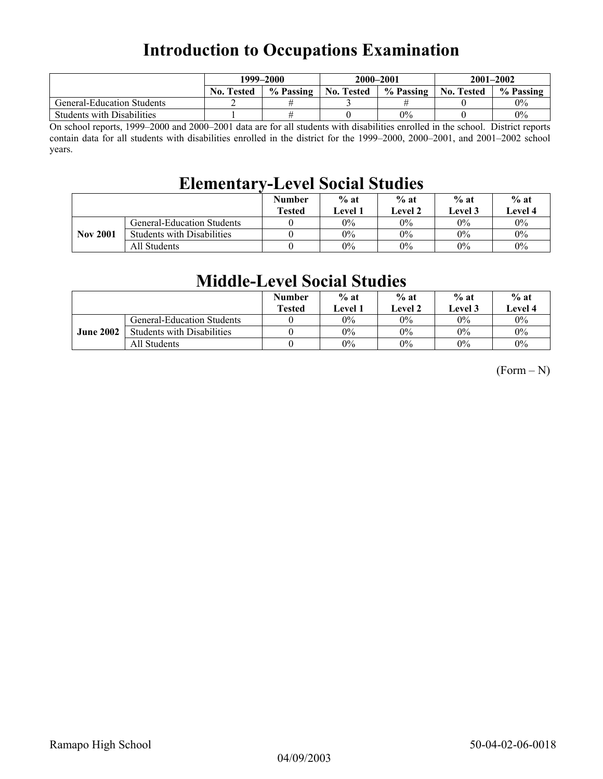## **Introduction to Occupations Examination**

|                                   | 1999–2000         |           | 2000-2001         |           | $2001 - 2002$     |           |
|-----------------------------------|-------------------|-----------|-------------------|-----------|-------------------|-----------|
|                                   | <b>No. Tested</b> | % Passing | <b>No. Tested</b> | % Passing | <b>No. Tested</b> | % Passing |
| <b>General-Education Students</b> |                   |           |                   |           |                   | $0\%$     |
| <b>Students with Disabilities</b> |                   |           |                   | $0\%$     |                   | 0%        |

On school reports, 1999–2000 and 2000–2001 data are for all students with disabilities enrolled in the school. District reports contain data for all students with disabilities enrolled in the district for the 1999–2000, 2000–2001, and 2001–2002 school years.

## **Elementary-Level Social Studies**

|                 |                                   | <b>Number</b><br><b>Tested</b> | $%$ at<br>Level 1 | $%$ at<br><b>Level 2</b> | $%$ at<br>Level 3 | $%$ at<br><b>Level 4</b> |
|-----------------|-----------------------------------|--------------------------------|-------------------|--------------------------|-------------------|--------------------------|
|                 | <b>General-Education Students</b> |                                | 0%                | $0\%$                    | 0%                | $0\%$                    |
| <b>Nov 2001</b> | <b>Students with Disabilities</b> |                                | $0\%$             | $0\%$                    | $0\%$             | $0\%$                    |
|                 | All Students                      |                                | 0%                | $0\%$                    | $0\%$             | $0\%$                    |

### **Middle-Level Social Studies**

|                  |                                   | <b>Number</b><br><b>Tested</b> | $%$ at<br><b>Level</b> 1 | $%$ at<br>Level 2 | $%$ at<br>Level 3 | $%$ at<br>Level 4 |
|------------------|-----------------------------------|--------------------------------|--------------------------|-------------------|-------------------|-------------------|
|                  | <b>General-Education Students</b> |                                | $0\%$                    | $0\%$             | 0%                | $0\%$             |
| <b>June 2002</b> | <b>Students with Disabilities</b> |                                | $0\%$                    | $0\%$             | $0\%$             | $0\%$             |
|                  | All Students                      |                                | $0\%$                    | $0\%$             | $0\%$             | $0\%$             |

 $(Form - N)$